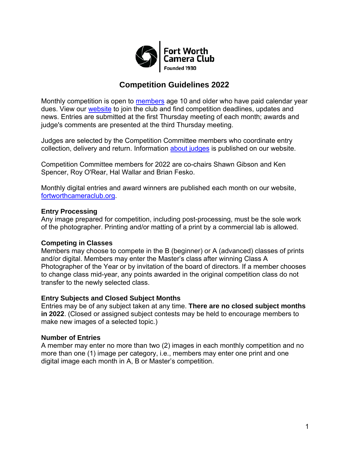

# **Competition Guidelines 2022**

Monthly competition is open to [members](https://fortworthcameraclub.org/membership/) age 10 and older who have paid calendar year dues. View our [website](https://fortworthcameraclub.org/) to join the club and find competition deadlines, updates and news. Entries are submitted at the first Thursday meeting of each month; awards and judge's comments are presented at the third Thursday meeting.

Judges are selected by the Competition Committee members who coordinate entry collection, delivery and return. Information [about judges](https://fortworthcameraclub.org/competition-2/competition-judges/) is published on our website.

Competition Committee members for 2022 are co-chairs Shawn Gibson and Ken Spencer, Roy O'Rear, Hal Wallar and Brian Fesko.

[Monthly digital entries an](https://fortworthcameraclub.org/)d award winners are published each month on our website, fortworthcameraclub.org.

#### **Entry Processing**

Any image prepared for competition, including post-processing, must be the sole work of the photographer. Printing and/or matting of a print by a commercial lab is allowed.

#### **Competing in Classes**

Members may choose to compete in the B (beginner) or A (advanced) classes of prints and/or digital. Members may enter the Master's class after winning Class A Photographer of the Year or by invitation of the board of directors. If a member chooses to change class mid-year, any points awarded in the original competition class do not transfer to the newly selected class.

#### **Entry Subjects and Closed Subject Months**

Entries may be of any subject taken at any time. **There are no closed subject months in 2022**. (Closed or assigned subject contests may be held to encourage mem[bers to](https://fortworthcameraclub.org/)  make new images of a selected topic.)

#### **Number of Entries**

A member may enter no more than two (2) images in each monthly competition and no more than one (1) image per category, i.e., members may enter one print and one digital image each month in A, B or Master's competition.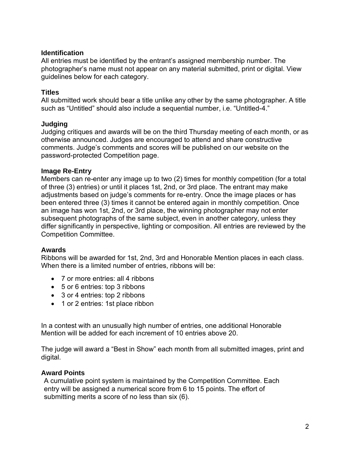### **Identification**

All entries must be identified by the entrant's assigned membership number. The photographer's name must not appear on any material submitted, print or digital. View guidelines below for each category.

### **Titles**

All submitted work should bear a title unlike any other by the same photographer. A title such as "Untitled" should also include a sequential number, i.e. "Untitled-4."

### **Judging**

Judging critiques and awards will be on the third Thursday meeting of each month, or as otherwise announced. Judges are encouraged to attend and share constructive comments. Judge's comments and scores will be published on our website on the password-protected Competition page.

### **Image Re-Entry**

Members can re-enter any image up to two (2) times for monthly competition (for a total of three (3) entries) or until it places 1st, 2nd, or 3rd place. The entrant may make adjustments based on judge's comments for re-entry. Once the image places or has been entered three (3) times it cannot be entered again in monthly competition. Once an image has won 1st, 2nd, or 3rd place, the winning photographer may not enter subsequent photographs of the same subject, even in another category, unless they differ significantly in perspective, lighting or composition. All entries are reviewed by the Competition Committee.

#### **Awards**

Ribbons will be awarded for 1st, 2nd, 3rd and Honorable Mention places in each class. When there is a limited number of entries, ribbons will be:

- 7 or more entries: all 4 ribbons
- 5 or 6 entries: top 3 ribbons
- 3 or 4 entries: top 2 ribbons
- 1 or 2 entries: 1st place ribbon

In a contest with an unusually high number of entries, one additional Honorable Mention will be added for each increment of 10 entries above 20.

The judge will award a "Best in Show" each month from all submitted images, print and digital.

### **Award Points**

A cumulative point system is maintained by the Competition Committee. Each entry will be assigned a numerical score from 6 to 15 points. The effort of submitting merits a score of no less than six (6).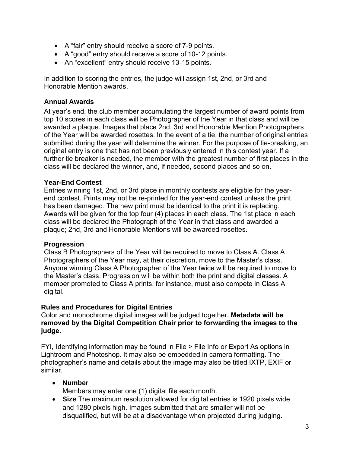- A "fair" entry should receive a score of 7-9 points.
- A "good" entry should receive a score of 10-12 points.
- An "excellent" entry should receive 13-15 points.

In addition to scoring the entries, the judge will assign 1st, 2nd, or 3rd and Honorable Mention awards.

### **Annual Awards**

At year's end, the club member accumulating the largest number of award points from top 10 scores in each class will be Photographer of the Year in that class and will be awarded a plaque. Images that place 2nd, 3rd and Honorable Mention Photographers of the Year will be awarded rosettes. In the event of a tie, the number of original entries submitted during the year will determine the winner. For the purpose of tie-breaking, an original entry is one that has not been previously entered in this contest year. If a further tie breaker is needed, the member with the greatest number of first places in the class will be declared the winner, and, if needed, second places and so on.

#### **Year-End Contest**

Entries winning 1st, 2nd, or 3rd place in monthly contests are eligible for the yearend contest. Prints may not be re-printed for the year-end contest unless the print has been damaged. The new print must be identical to the print it is replacing. Awards will be given for the top four (4) places in each class. The 1st place in each class will be declared the Photograph of the Year in that class and awarded a plaque; 2nd, 3rd and Honorable Mentions will be awarded rosettes.

#### **Progression**

Class B Photographers of the Year will be required to move to Class A. Class A Photographers of the Year may, at their discretion, move to the Master's class. Anyone winning Class A Photographer of the Year twice will be required to move to the Master's class. Progression will be within both the print and digital classes. A member promoted to Class A prints, for instance, must also compete in Class A digital.

#### **Rules and Procedures for Digital Entries**

Color and monochrome digital images will be judged together. **Metadata will be removed by the Digital Competition Chair prior to forwarding the images to the judge.**

FYI, Identifying information may be found in File > File Info or Export As options in Lightroom and Photoshop. It may also be embedded in camera formatting. The photographer's name and details about the image may also be titled IXTP, EXIF or similar.

#### • **Number**

Members may enter one (1) digital file each month.

• **Size** The maximum resolution allowed for digital entries is 1920 pixels wide and 1280 pixels high. Images submitted that are smaller will not be disqualified, but will be at a disadvantage when projected during judging.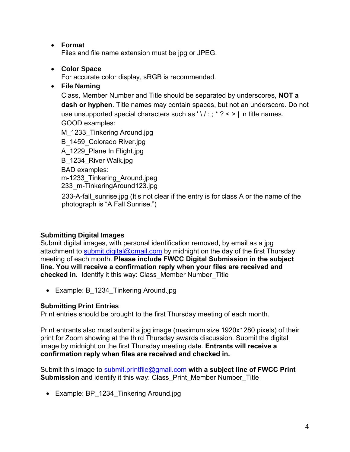# • **Format**

Files and file name extension must be jpg or JPEG.

# • **Color Space**

For accurate color display, sRGB is recommended.

# • **File Naming**

Class, Member Number and Title should be separated by underscores, **NOT a dash or hyphen**. Title names may contain spaces, but not an underscore. Do not use unsupported special characters such as ' \ / : ; \* ? < > | in title names. GOOD examples:

M\_1233\_Tinkering Around.jpg

B 1459 Colorado River.jpg

A\_1229\_Plane In Flight.jpg

B 1234 River Walk.jpg

BAD examples:

m-1233\_Tinkering\_Around.jpeg 233\_m-TinkeringAround123.jpg

233-A-fall sunrise.jpg (It's not clear if the entry is for class A or the name of the photograph is "A Fall Sunrise.")

# **Submitting Digital Images**

Submit digital images, with personal identification removed, by email as a jpg attachment to [submit.digital@gmail.com](mailto:submit.digital@gmail.com) by midnight on the day of the first Thursday meeting of each month. **Please include FWCC Digital Submission in the subject line. You will receive a confirmation reply when your files are received and checked in.** Identify it this way: Class\_Member Number\_Title

• Example: B 1234 Tinkering Around.jpg

# **Submitting Print Entries**

Print entries should be brought to the first Thursday meeting of each month.

Print entrants also must submit a jpg image (maximum size 1920x1280 pixels) of their print for Zoom showing at the third Thursday awards discussion. Submit the digital image by midnight on the first Thursday meeting date. **Entrants will receive a confirmation reply when files are received and checked in.**

Submit this image to submit.printfile@gmail.com **with a subject line of FWCC Print Submission** and identify it this way: Class\_Print\_Member Number\_Title

• Example: BP\_1234\_Tinkering Around.jpg